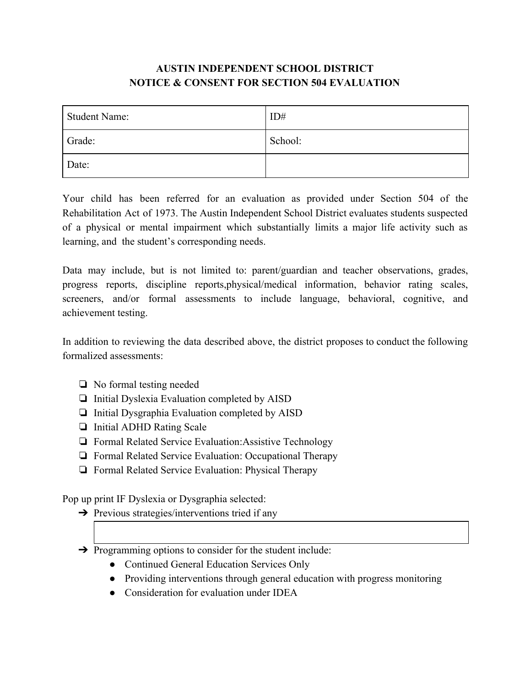## **AUSTIN INDEPENDENT SCHOOL DISTRICT NOTICE & CONSENT FOR SECTION 504 EVALUATION**

| <b>Student Name:</b> | ID#     |
|----------------------|---------|
| Grade:               | School: |
| Date:                |         |

Your child has been referred for an evaluation as provided under Section 504 of the Rehabilitation Act of 1973. The Austin Independent School District evaluates students suspected of a physical or mental impairment which substantially limits a major life activity such as learning, and the student's corresponding needs.

Data may include, but is not limited to: parent/guardian and teacher observations, grades, progress reports, discipline reports,physical/medical information, behavior rating scales, screeners, and/or formal assessments to include language, behavioral, cognitive, and achievement testing.

In addition to reviewing the data described above, the district proposes to conduct the following formalized assessments:

- ❏ No formal testing needed
- ❏ Initial Dyslexia Evaluation completed by AISD
- ❏ Initial Dysgraphia Evaluation completed by AISD
- ❏ Initial ADHD Rating Scale
- ❏ Formal Related Service Evaluation:Assistive Technology
- ❏ Formal Related Service Evaluation: Occupational Therapy
- ❏ Formal Related Service Evaluation: Physical Therapy

Pop up print IF Dyslexia or Dysgraphia selected:

- $\rightarrow$  Previous strategies/interventions tried if any
- ➔ Programming options to consider for the student include:
	- Continued General Education Services Only
	- Providing interventions through general education with progress monitoring
	- Consideration for evaluation under IDEA